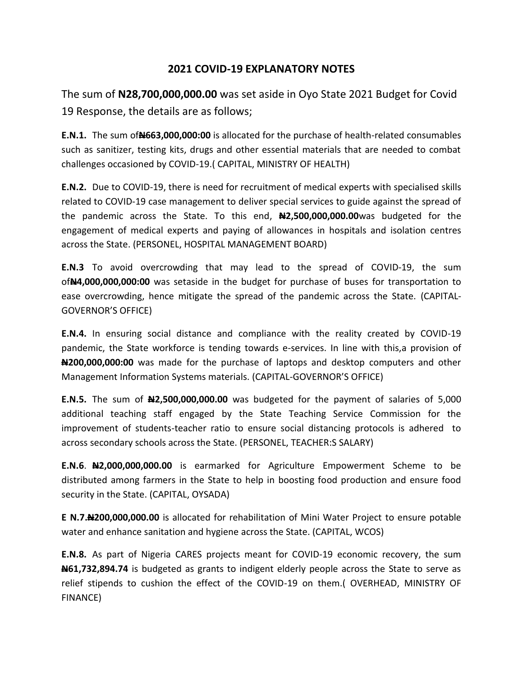# **2021 COVID-19 EXPLANATORY NOTES**

The sum of **N28,700,000,000.00** was set aside in Oyo State 2021 Budget for Covid 19 Response, the details are as follows;

**E.N.1.** The sum of**N663,000,000:00** is allocated for the purchase of health-related consumables such as sanitizer, testing kits, drugs and other essential materials that are needed to combat challenges occasioned by COVID-19.( CAPITAL, MINISTRY OF HEALTH)

**E.N.2.** Due to COVID-19, there is need for recruitment of medical experts with specialised skills related to COVID-19 case management to deliver special services to guide against the spread of the pandemic across the State. To this end, **N2,500,000,000.00**was budgeted for the engagement of medical experts and paying of allowances in hospitals and isolation centres across the State. (PERSONEL, HOSPITAL MANAGEMENT BOARD)

**E.N.3** To avoid overcrowding that may lead to the spread of COVID-19, the sum of**N4,000,000,000:00** was setaside in the budget for purchase of buses for transportation to ease overcrowding, hence mitigate the spread of the pandemic across the State. (CAPITAL-GOVERNOR'S OFFICE)

**E.N.4.** In ensuring social distance and compliance with the reality created by COVID-19 pandemic, the State workforce is tending towards e-services. In line with this,a provision of **N200,000,000:00** was made for the purchase of laptops and desktop computers and other Management Information Systems materials. (CAPITAL-GOVERNOR'S OFFICE)

**E.N.5.** The sum of **N2,500,000,000.00** was budgeted for the payment of salaries of 5,000 additional teaching staff engaged by the State Teaching Service Commission for the improvement of students-teacher ratio to ensure social distancing protocols is adhered to across secondary schools across the State. (PERSONEL, TEACHER:S SALARY)

**E.N.6**. **N2,000,000,000.00** is earmarked for Agriculture Empowerment Scheme to be distributed among farmers in the State to help in boosting food production and ensure food security in the State. (CAPITAL, OYSADA)

**E N.7.N200,000,000.00** is allocated for rehabilitation of Mini Water Project to ensure potable water and enhance sanitation and hygiene across the State. (CAPITAL, WCOS)

**E.N.8.** As part of Nigeria CARES projects meant for COVID-19 economic recovery, the sum **N61,732,894.74** is budgeted as grants to indigent elderly people across the State to serve as relief stipends to cushion the effect of the COVID-19 on them.( OVERHEAD, MINISTRY OF FINANCE)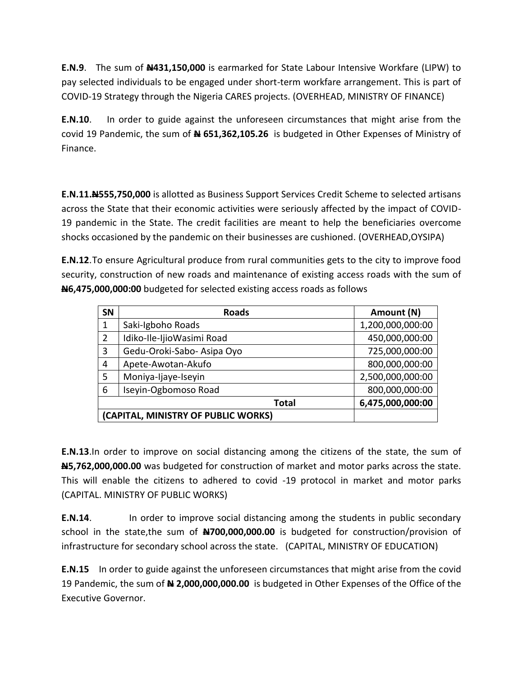**E.N.9**. The sum of **N431,150,000** is earmarked for State Labour Intensive Workfare (LIPW) to pay selected individuals to be engaged under short-term workfare arrangement. This is part of COVID-19 Strategy through the Nigeria CARES projects. (OVERHEAD, MINISTRY OF FINANCE)

**E.N.10**. In order to guide against the unforeseen circumstances that might arise from the covid 19 Pandemic, the sum of **N 651,362,105.26** is budgeted in Other Expenses of Ministry of Finance.

**E.N.11.N555,750,000** is allotted as Business Support Services Credit Scheme to selected artisans across the State that their economic activities were seriously affected by the impact of COVID-19 pandemic in the State. The credit facilities are meant to help the beneficiaries overcome shocks occasioned by the pandemic on their businesses are cushioned. (OVERHEAD,OYSIPA)

**E.N.12**.To ensure Agricultural produce from rural communities gets to the city to improve food security, construction of new roads and maintenance of existing access roads with the sum of **N6,475,000,000:00** budgeted for selected existing access roads as follows

| <b>SN</b>                           | <b>Roads</b>               | Amount (N)       |
|-------------------------------------|----------------------------|------------------|
| 1                                   | Saki-Igboho Roads          | 1,200,000,000:00 |
| 2                                   | Idiko-Ile-IjioWasimi Road  | 450,000,000:00   |
| 3                                   | Gedu-Oroki-Sabo- Asipa Oyo | 725,000,000:00   |
| 4                                   | Apete-Awotan-Akufo         | 800,000,000:00   |
| 5                                   | Moniya-Ijaye-Iseyin        | 2,500,000,000:00 |
| 6                                   | Iseyin-Ogbomoso Road       | 800,000,000:00   |
|                                     | Total                      | 6,475,000,000:00 |
| (CAPITAL, MINISTRY OF PUBLIC WORKS) |                            |                  |

**E.N.13**.In order to improve on social distancing among the citizens of the state, the sum of **N5,762,000,000.00** was budgeted for construction of market and motor parks across the state. This will enable the citizens to adhered to covid -19 protocol in market and motor parks (CAPITAL. MINISTRY OF PUBLIC WORKS)

**E.N.14.** In order to improve social distancing among the students in public secondary school in the state,the sum of **N700,000,000.00** is budgeted for construction/provision of infrastructure for secondary school across the state. (CAPITAL, MINISTRY OF EDUCATION)

**E.N.15** In order to guide against the unforeseen circumstances that might arise from the covid 19 Pandemic, the sum of **N 2,000,000,000.00** is budgeted in Other Expenses of the Office of the Executive Governor.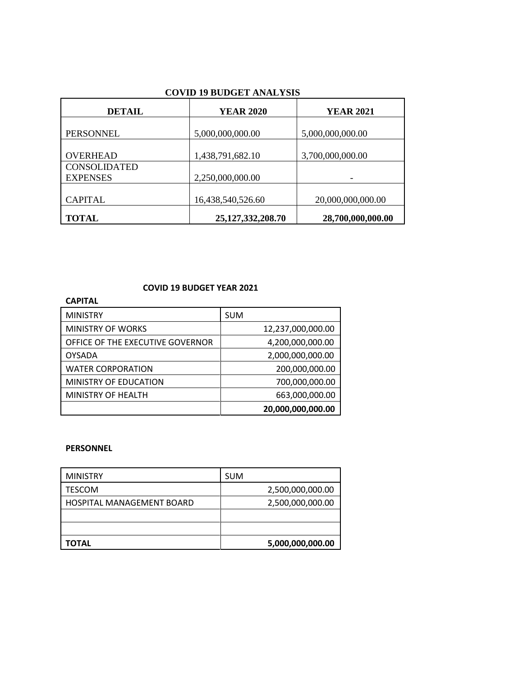| DETAIL                                 | <b>YEAR 2020</b>      | <b>YEAR 2021</b>  |
|----------------------------------------|-----------------------|-------------------|
| PERSONNEL                              | 5,000,000,000.00      | 5,000,000,000.00  |
| <b>OVERHEAD</b>                        | 1,438,791,682.10      | 3,700,000,000.00  |
| <b>CONSOLIDATED</b><br><b>EXPENSES</b> | 2,250,000,000.00      |                   |
| <b>CAPITAL</b>                         | 16,438,540,526.60     | 20,000,000,000.00 |
| <b>TOTAL</b>                           | 25, 127, 332, 208. 70 | 28,700,000,000.00 |

## **COVID 19 BUDGET YEAR 2021**

| <b>CAPITAL</b>                   |                   |
|----------------------------------|-------------------|
| <b>MINISTRY</b>                  | <b>SUM</b>        |
| <b>MINISTRY OF WORKS</b>         | 12,237,000,000.00 |
| OFFICE OF THE EXECUTIVE GOVERNOR | 4,200,000,000.00  |
| <b>OYSADA</b>                    | 2,000,000,000.00  |
| <b>WATER CORPORATION</b>         | 200,000,000.00    |
| MINISTRY OF EDUCATION            | 700,000,000.00    |
| MINISTRY OF HEALTH               | 663,000,000.00    |
|                                  | 20,000,000,000.00 |

### **PERSONNEL**

| <b>MINISTRY</b>           | <b>SUM</b>       |
|---------------------------|------------------|
| TESCOM                    | 2,500,000,000.00 |
| HOSPITAL MANAGEMENT BOARD | 2,500,000,000.00 |
|                           |                  |
|                           |                  |
| TOTAL                     | 5,000,000,000.00 |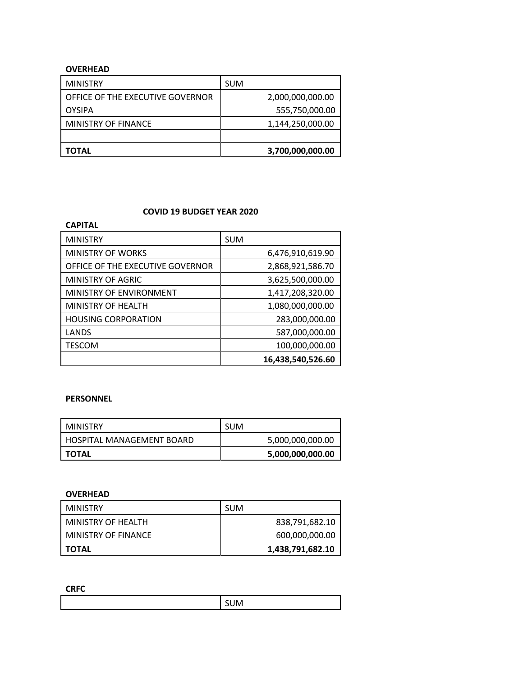## **OVERHEAD**

| <b>MINISTRY</b>                  | <b>SUM</b>       |
|----------------------------------|------------------|
| OFFICE OF THE EXECUTIVE GOVERNOR | 2,000,000,000.00 |
| <b>OYSIPA</b>                    | 555,750,000.00   |
| MINISTRY OF FINANCE              | 1,144,250,000.00 |
|                                  |                  |
| TOTAL                            | 3,700,000,000.00 |

### **COVID 19 BUDGET YEAR 2020**

| <b>CAPITAL</b>                   |                   |
|----------------------------------|-------------------|
| <b>MINISTRY</b>                  | <b>SUM</b>        |
| <b>MINISTRY OF WORKS</b>         | 6,476,910,619.90  |
| OFFICE OF THE EXECUTIVE GOVERNOR | 2,868,921,586.70  |
| MINISTRY OF AGRIC                | 3,625,500,000.00  |
| MINISTRY OF ENVIRONMENT          | 1,417,208,320.00  |
| MINISTRY OF HEALTH               | 1,080,000,000.00  |
| <b>HOUSING CORPORATION</b>       | 283,000,000.00    |
| LANDS                            | 587,000,000.00    |
| <b>TESCOM</b>                    | 100,000,000.00    |
|                                  | 16,438,540,526.60 |

#### **PERSONNEL**

| <b>MINISTRY</b>           | <b>SUM</b>       |
|---------------------------|------------------|
| HOSPITAL MANAGEMENT BOARD | 5,000,000,000.00 |
| TOTAL                     | 5,000,000,000.00 |

#### **OVERHEAD**

| MINISTRY            | <b>SUM</b>       |
|---------------------|------------------|
| MINISTRY OF HEALTH  | 838,791,682.10   |
| MINISTRY OF FINANCE | 600,000,000.00   |
| <b>TOTAL</b>        | 1,438,791,682.10 |

**CRFC**

| <b></b> |
|---------|
|         |